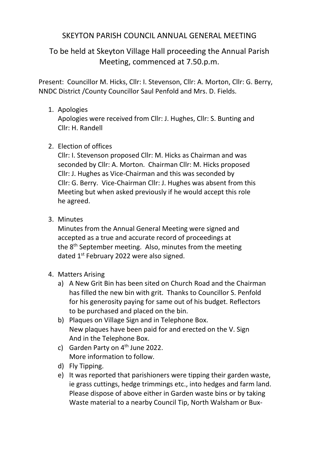# SKEYTON PARISH COUNCIL ANNUAL GENERAL MEETING

# To be held at Skeyton Village Hall proceeding the Annual Parish Meeting, commenced at 7.50.p.m.

Present: Councillor M. Hicks, Cllr: I. Stevenson, Cllr: A. Morton, Cllr: G. Berry, NNDC District /County Councillor Saul Penfold and Mrs. D. Fields.

# 1. Apologies

Apologies were received from Cllr: J. Hughes, Cllr: S. Bunting and Cllr: H. Randell

## 2. Election of offices

Cllr: I. Stevenson proposed Cllr: M. Hicks as Chairman and was seconded by Cllr: A. Morton. Chairman Cllr: M. Hicks proposed Cllr: J. Hughes as Vice-Chairman and this was seconded by Cllr: G. Berry. Vice-Chairman Cllr: J. Hughes was absent from this Meeting but when asked previously if he would accept this role he agreed.

3. Minutes

Minutes from the Annual General Meeting were signed and accepted as a true and accurate record of proceedings at the 8<sup>th</sup> September meeting. Also, minutes from the meeting dated 1<sup>st</sup> February 2022 were also signed.

- 4. Matters Arising
	- a) A New Grit Bin has been sited on Church Road and the Chairman has filled the new bin with grit. Thanks to Councillor S. Penfold for his generosity paying for same out of his budget. Reflectors to be purchased and placed on the bin.
	- b) Plaques on Village Sign and in Telephone Box. New plaques have been paid for and erected on the V. Sign And in the Telephone Box.
	- c) Garden Party on  $4<sup>th</sup>$  June 2022. More information to follow.
	- d) Fly Tipping.
	- e) It was reported that parishioners were tipping their garden waste, ie grass cuttings, hedge trimmings etc., into hedges and farm land. Please dispose of above either in Garden waste bins or by taking Waste material to a nearby Council Tip, North Walsham or Bux-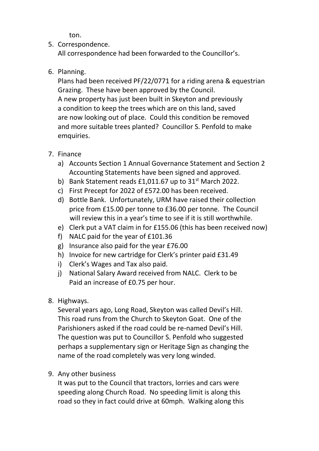ton.

#### 5. Correspondence.

All correspondence had been forwarded to the Councillor's.

6. Planning.

Plans had been received PF/22/0771 for a riding arena & equestrian Grazing. These have been approved by the Council. A new property has just been built in Skeyton and previously a condition to keep the trees which are on this land, saved are now looking out of place. Could this condition be removed and more suitable trees planted? Councillor S. Penfold to make emquiries.

### 7. Finance

- a) Accounts Section 1 Annual Governance Statement and Section 2 Accounting Statements have been signed and approved.
- b) Bank Statement reads  $£1,011.67$  up to  $31<sup>st</sup>$  March 2022.
- c) First Precept for 2022 of £572.00 has been received.
- d) Bottle Bank. Unfortunately, URM have raised their collection price from £15.00 per tonne to £36.00 per tonne. The Council will review this in a year's time to see if it is still worthwhile.
- e) Clerk put a VAT claim in for £155.06 (this has been received now)
- f) NALC paid for the year of £101.36
- g) Insurance also paid for the year £76.00
- h) Invoice for new cartridge for Clerk's printer paid £31.49
- i) Clerk's Wages and Tax also paid.
- j) National Salary Award received from NALC. Clerk to be Paid an increase of £0.75 per hour.
- 8. Highways.

Several years ago, Long Road, Skeyton was called Devil's Hill. This road runs from the Church to Skeyton Goat. One of the Parishioners asked if the road could be re-named Devil's Hill. The question was put to Councillor S. Penfold who suggested perhaps a supplementary sign or Heritage Sign as changing the name of the road completely was very long winded.

9. Any other business

It was put to the Council that tractors, lorries and cars were speeding along Church Road. No speeding limit is along this road so they in fact could drive at 60mph. Walking along this